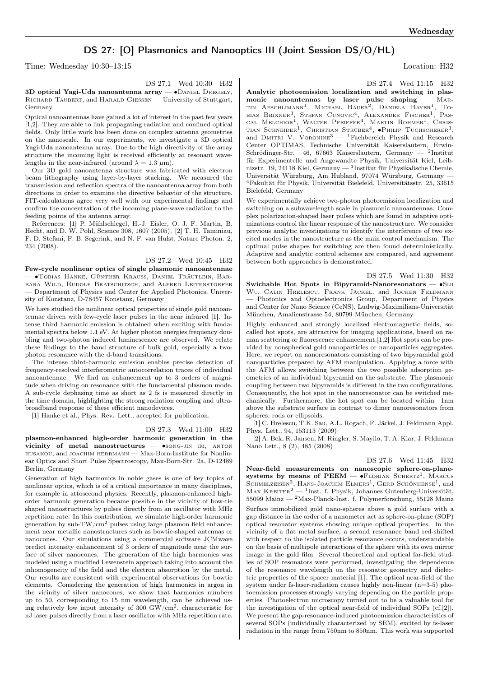# DS 27: [O] Plasmonics and Nanooptics III (Joint Session DS/O/HL)

Time: Wednesday 10:30–13:15 Location: H32

DS 27.1 Wed 10:30 H32

3D optical Yagi-Uda nanoantenna array — ∙Daniel Dregely, Richard Taubert, and Harald Giessen — University of Stuttgart, Germany

Optical nanoantennas have gained a lot of interest in the past few years [1,2]. They are able to link propagating radiation and confined optical fields. Only little work has been done on complex antenna geometries on the nanoscale. In our experiments, we investigate a 3D optical Yagi-Uda nanoantenna array. Due to the high directivity of the array structure the incoming light is received efficiently at resonant wavelengths in the near-infrared (around  $\lambda = 1.3 \mu m$ ).

Our 3D gold nanoantenna structure was fabricated with electron beam lithography using layer-by-layer stacking. We measured the transmission and reflection spectra of the nanoantenna array from both directions in order to examine the directive behavior of the structure. FIT-calculations agree very well with our experimental findings and confirm the concentration of the incoming plane-wave radiation to the feeding points of the antenna array.

References: [1] P. Mühlschlegel, H.-J. Eisler, O. J. F. Martin, B. Hecht, and D. W. Pohl, Science 308, 1607 (2005). [2] T. H. Taminiau, F. D. Stefani, F. B. Segerink, and N. F. van Hulst, Nature Photon. 2, 234 (2008).

## DS 27.2 Wed 10:45 H32

Few-cycle nonlinear optics of single plasmonic nanoantennae — ∙Tobias Hanke, Günther Krauss, Daniel Träutlein, Barbara Wild, Rudolf Bratschitsch, and Alfred Leitenstorfer — Department of Physics and Center for Applied Photonics, University of Konstanz, D-78457 Konstanz, Germany

We have studied the nonlinear optical properties of single gold nanoantennae driven with few-cycle laser pulses in the near infrared [1]. Intense third harmonic emission is obtained when exciting with fundamental spectra below 1.1 eV. At higher photon energies frequency doubling and two-photon induced luminescence are observed. We relate these findings to the band structure of bulk gold, especially a twophoton resonance with the d-band transitions.

The intense third-harmonic emission enables precise detection of frequency-resolved interferometric autocorrelation traces of individual nanoantennae. We find an enhancement up to 3 orders of magnitude when driving on resonance with the fundamental plasmon mode. A sub-cycle dephasing time as short as 2 fs is measured directly in the time domain, highlighting the strong radiation coupling and ultrabroadband response of these efficient nanodevices.

[1] Hanke et al., Phys. Rev. Lett., accepted for publication.

#### DS 27.3 Wed 11:00 H32

plasmon-enhanced high-order harmonic generation in the vicinity of metal nanostructures — •song-jin IM, ANTON husakou, and joachim herrmann — Max-Born-Institute for Nonlinear Optics and Short Pulse Spectroscopy, Max-Born-Str. 2a, D-12489 Berlin, Germany

Generation of high harmonics in noble gases is one of key topics of nonlinear optics, which is of a critical importance in many disciplines, for example in attosecond physics. Recently, plasmon-enhanced highorder harmonic generation became possible in the vicinity of bow-tie shaped nanostructures by pulses directly from an oscillator with MHz repetition rate. In this contribution, we simulate high-order harmonic generation by sub-TW/ $\text{cm}^2$  pulses using large plasmon field enhancement near metallic nanostructures such as bowtie-shaped antennas or nanocones. Our simulations using a commercial software JCMwave predict intensity enhancement of 3 orders of magnitude near the surface of silver nanocones. The generation of the high harmonics was modeled using a modified Lewenstein approach taking into account the inhomogeneity of the field and the electron absorption by the metal. Our results are consistent with experimental observations for bowtie elements. Considering the generation of high harmonics in argon in the vicinity of silver nanocones, we show that harmonics numbers up to 50, corresponding to 15 nm wavelength, can be achieved using relatively low input intensity of 300  $\text{GW/cm}^2$ , characteristic for nJ laser pulses directly from a laser oscillator with MHz repetition rate.

DS 27.4 Wed 11:15 H32

Analytic photoemission localization and switching in plasmonic nanoantennas by laser pulse shaping — Mar-TIN AESCHLIMANN<sup>1</sup>, MICHAEL BAUER<sup>2</sup>, DANIELA BAYER<sup>1</sup>, TO-BIAS BRIXNER<sup>3</sup>, STEFAN CUNOVIC<sup>4</sup>, ALEXANDER FISCHER<sup>1</sup>, PAS-<br>cal Melchior<sup>1</sup>, Walter Pfeiffer<sup>4</sup>, Martin Rohmer<sup>1</sup>, Chris-<br>tian Schneider<sup>1</sup>, Christian Strüber<sup>4</sup>, ●Philip Tuchscherer<sup>3</sup>, and DMITRI V. VORONINE<sup>3</sup> — <sup>1</sup>Fachbereich Physik and Research Center OPTIMAS, Technische Universität Kaiserslautern, Erwin-Schrödinger-Str. 46, 67663 Kaiserslautern, Germany — <sup>2</sup>Institut für Experimentelle und Angewandte Physik, Universität Kiel, Leibnizstr. 19, 24118 Kiel, Germany — <sup>3</sup> Institut für Physikalische Chemie, Universität Würzburg, Am Hubland, 97074 Würzburg, Germany — <sup>4</sup>Fakultät für Physik, Universität Bielefeld, Universitätsstr. 25, 33615 Bielefeld, Germany

We experimentally achieve two-photon photoemission localization and switching on a subwavelength scale in plasmonic nanoantennas. Complex polarization-shaped laser pulses which are found in adaptive optimizations control the linear response of the nanostructure. We consider previous analytic investigations to identify the interference of two excited modes in the nanostructure as the main control mechanism. The optimal pulse shapes for switching are then found deterministically. Adaptive and analytic control schemes are compared, and agreement between both approaches is demonstrated.

#### DS 27.5 Wed 11:30 H32

Swichable Hot Spots in Bipyramid-Nanoresonators — •Siji WU, CALIN HRELESCU, FRANK JÄCKEL, and JOCHEN FELDMANN — Photonics and Optoelectronics Group, Department of Physics and Center for Nano Science (CeNS), Ludwig-Maximilians-Universität München, Amalienstrasse 54, 80799 München, Germany

Highly enhanced and strongly localized electromagnetic fields, socalled hot spots, are attractive for imaging applications, based on raman scattering or fluorescence enhancement.[1,2] Hot spots can be provided by nonspherical gold nanoparticles or nanoparticles aggregates. Here, we report on nanoresonators consisting of two bipyramidal gold nanoparticles prepared by AFM manipulation. Applying a force with the AFM allows switching between the two possible adsorption geometries of an individual bipyramid on the substrate. The plasmonic coupling between two bipyramids is different in the two configurations. Consequently, the hot spot in the nanoresonator can be switched mechanically. Furthermore, the hot spot can be located within 1nm above the substrate surface in contrast to dimer nanoresonators from spheres, rods or ellipsoids.

[1] C. Hrelescu, T.K. Sau, A.L. Rogach, F. Jäckel, J. Feldmann Appl. Phys. Lett., 94, 153113 (2009)

[2] A. Bek, R. Jansen, M. Ringler, S. Mayilo, T. A. Klar, J. Feldmann Nano Lett., 8 (2), 485 (2008)

DS 27.6 Wed 11:45 H32

Near-field measurements on nanoscopic sphere-on-planesystems by means of  $PEEM - \bullet$ Florian Schertz<sup>1</sup>, Marcus SCHMELZEISEN<sup>2</sup>, HANS-JOACHIM ELMERS<sup>1</sup>, GERD SCHÖNHENSE<sup>1</sup>, and<br>Max Kreiter<sup>2</sup> — <sup>1</sup>Inst. f. Physik, Johannes Gutenberg-Universität, 55099 Mainz — <sup>2</sup>Max-Planck-Inst. f. Polymerforschung, 55128 Mainz Surface immobilized gold nano-spheres above a gold surface with a gap distance in the order of a nanometer act as sphere-on-plane (SOP) optical resonator systems showing unique optical properties. In the vicinity of a flat metal surface, a second resonance band red-shifted with respect to the isolated particle resonance occurs, understandable on the basis of multipole interactions of the sphere with its own mirror image in the gold film. Several theoretical and optical far-field studies of SOP resonators were performed, investigating the dependence of the resonance wavelength on the resonator geometry and dielectric properties of the spacer material [1]. The optical near-field of the system under fs-laser-radiation causes highly non-linear (n=3-5) photoemission processes strongly varying depending on the particle properties. Photoelectron microscopy turned out to be a valuable tool for the investigation of the optical near-field of individual SOPs (cf.[2]). We present the gap-resonance-induced photoemission characteristics of several SOPs (individually characterized by SEM), excited by fs-laser radiation in the range from 750nm to 850nm. This work was supported